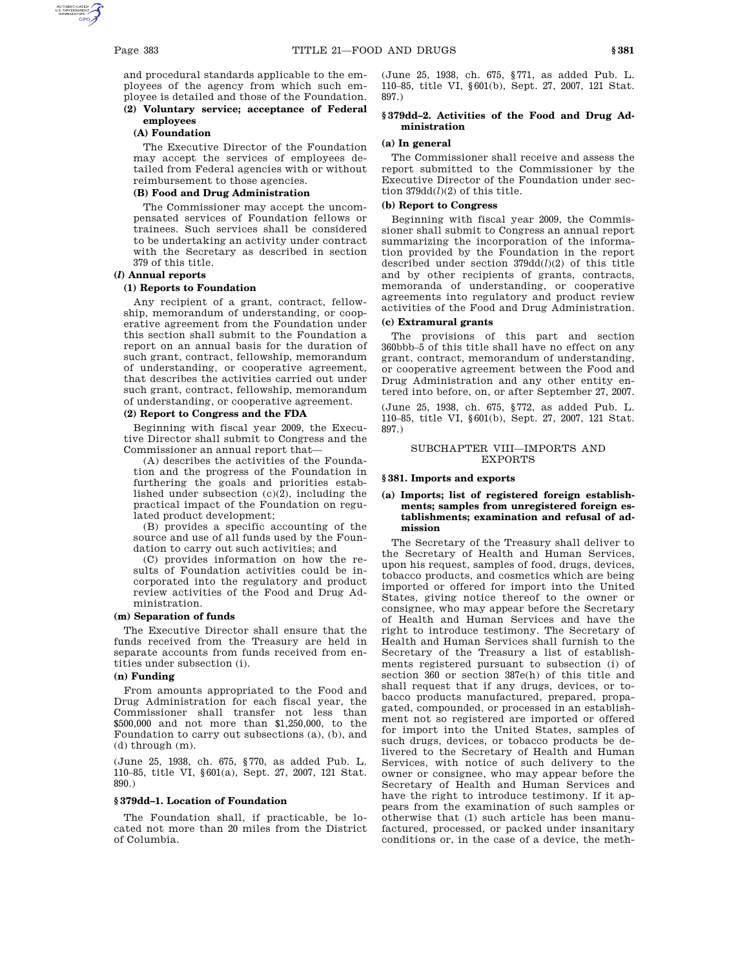and procedural standards applicable to the employees of the agency from which such em-

## ployee is detailed and those of the Foundation. **(2) Voluntary service; acceptance of Federal employees**

## **(A) Foundation**

The Executive Director of the Foundation may accept the services of employees detailed from Federal agencies with or without reimbursement to those agencies.

## **(B) Food and Drug Administration**

The Commissioner may accept the uncompensated services of Foundation fellows or trainees. Such services shall be considered to be undertaking an activity under contract with the Secretary as described in section 379 of this title.

# **(***l***) Annual reports**

### **(1) Reports to Foundation**

Any recipient of a grant, contract, fellowship, memorandum of understanding, or cooperative agreement from the Foundation under this section shall submit to the Foundation a report on an annual basis for the duration of such grant, contract, fellowship, memorandum of understanding, or cooperative agreement, that describes the activities carried out under such grant, contract, fellowship, memorandum of understanding, or cooperative agreement.

#### **(2) Report to Congress and the FDA**

Beginning with fiscal year 2009, the Executive Director shall submit to Congress and the Commissioner an annual report that—

(A) describes the activities of the Foundation and the progress of the Foundation in furthering the goals and priorities established under subsection (c)(2), including the practical impact of the Foundation on regulated product development;

(B) provides a specific accounting of the source and use of all funds used by the Foundation to carry out such activities; and

(C) provides information on how the results of Foundation activities could be incorporated into the regulatory and product review activities of the Food and Drug Administration.

## **(m) Separation of funds**

The Executive Director shall ensure that the funds received from the Treasury are held in separate accounts from funds received from entities under subsection (i).

# **(n) Funding**

From amounts appropriated to the Food and Drug Administration for each fiscal year, the Commissioner shall transfer not less than \$500,000 and not more than \$1,250,000, to the Foundation to carry out subsections (a), (b), and (d) through (m).

(June 25, 1938, ch. 675, §770, as added Pub. L. 110–85, title VI, §601(a), Sept. 27, 2007, 121 Stat. 890.)

#### **§ 379dd–1. Location of Foundation**

The Foundation shall, if practicable, be located not more than 20 miles from the District of Columbia.

(June 25, 1938, ch. 675, §771, as added Pub. L. 110–85, title VI, §601(b), Sept. 27, 2007, 121 Stat. 897.)

## **§ 379dd–2. Activities of the Food and Drug Administration**

## **(a) In general**

The Commissioner shall receive and assess the report submitted to the Commissioner by the Executive Director of the Foundation under section 379dd(*l*)(2) of this title.

## **(b) Report to Congress**

Beginning with fiscal year 2009, the Commissioner shall submit to Congress an annual report summarizing the incorporation of the information provided by the Foundation in the report described under section 379dd(*l*)(2) of this title and by other recipients of grants, contracts, memoranda of understanding, or cooperative agreements into regulatory and product review activities of the Food and Drug Administration.

## **(c) Extramural grants**

The provisions of this part and section 360bbb–5 of this title shall have no effect on any grant, contract, memorandum of understanding, or cooperative agreement between the Food and Drug Administration and any other entity entered into before, on, or after September 27, 2007.

(June 25, 1938, ch. 675, §772, as added Pub. L. 110–85, title VI, §601(b), Sept. 27, 2007, 121 Stat. 897.)

## SUBCHAPTER VIII—IMPORTS AND EXPORTS

#### **§ 381. Imports and exports**

## **(a) Imports; list of registered foreign establishments; samples from unregistered foreign establishments; examination and refusal of admission**

The Secretary of the Treasury shall deliver to the Secretary of Health and Human Services, upon his request, samples of food, drugs, devices, tobacco products, and cosmetics which are being imported or offered for import into the United States, giving notice thereof to the owner or consignee, who may appear before the Secretary of Health and Human Services and have the right to introduce testimony. The Secretary of Health and Human Services shall furnish to the Secretary of the Treasury a list of establishments registered pursuant to subsection (i) of section 360 or section 387e(h) of this title and shall request that if any drugs, devices, or tobacco products manufactured, prepared, propagated, compounded, or processed in an establishment not so registered are imported or offered for import into the United States, samples of such drugs, devices, or tobacco products be delivered to the Secretary of Health and Human Services, with notice of such delivery to the owner or consignee, who may appear before the Secretary of Health and Human Services and have the right to introduce testimony. If it appears from the examination of such samples or otherwise that (1) such article has been manufactured, processed, or packed under insanitary conditions or, in the case of a device, the meth-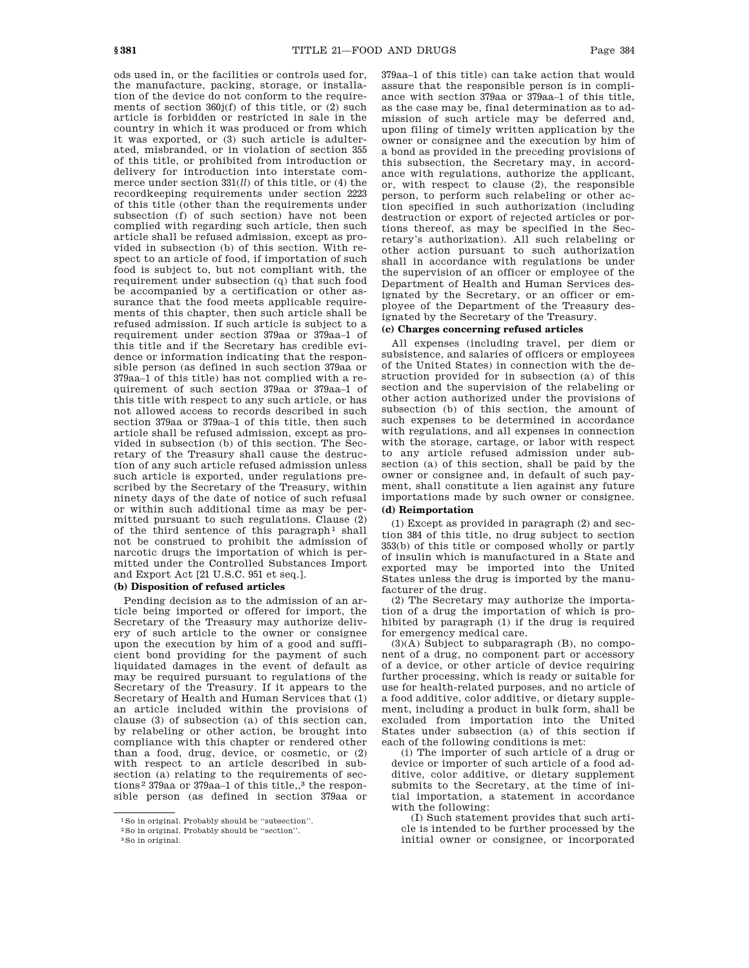ods used in, or the facilities or controls used for, the manufacture, packing, storage, or installation of the device do not conform to the requirements of section 360j(f) of this title, or (2) such article is forbidden or restricted in sale in the country in which it was produced or from which it was exported, or (3) such article is adulterated, misbranded, or in violation of section 355 of this title, or prohibited from introduction or delivery for introduction into interstate commerce under section 331(*ll*) of this title, or (4) the recordkeeping requirements under section 2223 of this title (other than the requirements under subsection (f) of such section) have not been complied with regarding such article, then such article shall be refused admission, except as provided in subsection (b) of this section. With respect to an article of food, if importation of such food is subject to, but not compliant with, the requirement under subsection (q) that such food be accompanied by a certification or other assurance that the food meets applicable requirements of this chapter, then such article shall be refused admission. If such article is subject to a requirement under section 379aa or 379aa–1 of this title and if the Secretary has credible evidence or information indicating that the responsible person (as defined in such section 379aa or 379aa–1 of this title) has not complied with a requirement of such section 379aa or 379aa–1 of this title with respect to any such article, or has not allowed access to records described in such section 379aa or 379aa–1 of this title, then such article shall be refused admission, except as provided in subsection (b) of this section. The Secretary of the Treasury shall cause the destruction of any such article refused admission unless such article is exported, under regulations prescribed by the Secretary of the Treasury, within ninety days of the date of notice of such refusal or within such additional time as may be permitted pursuant to such regulations. Clause (2) of the third sentence of this paragraph<sup>1</sup> shall not be construed to prohibit the admission of narcotic drugs the importation of which is permitted under the Controlled Substances Import and Export Act [21 U.S.C. 951 et seq.].

## **(b) Disposition of refused articles**

Pending decision as to the admission of an article being imported or offered for import, the Secretary of the Treasury may authorize delivery of such article to the owner or consignee upon the execution by him of a good and sufficient bond providing for the payment of such liquidated damages in the event of default as may be required pursuant to regulations of the Secretary of the Treasury. If it appears to the Secretary of Health and Human Services that (1) an article included within the provisions of clause (3) of subsection (a) of this section can, by relabeling or other action, be brought into compliance with this chapter or rendered other than a food, drug, device, or cosmetic, or (2) with respect to an article described in subsection (a) relating to the requirements of sections<sup>2</sup> 379aa or 379aa-1 of this title,,<sup>3</sup> the responsible person (as defined in section 379aa or

379aa–1 of this title) can take action that would assure that the responsible person is in compliance with section 379aa or 379aa–1 of this title, as the case may be, final determination as to admission of such article may be deferred and, upon filing of timely written application by the owner or consignee and the execution by him of a bond as provided in the preceding provisions of this subsection, the Secretary may, in accordance with regulations, authorize the applicant, or, with respect to clause (2), the responsible person, to perform such relabeling or other action specified in such authorization (including destruction or export of rejected articles or portions thereof, as may be specified in the Secretary's authorization). All such relabeling or other action pursuant to such authorization shall in accordance with regulations be under the supervision of an officer or employee of the Department of Health and Human Services designated by the Secretary, or an officer or employee of the Department of the Treasury designated by the Secretary of the Treasury.

## **(c) Charges concerning refused articles**

All expenses (including travel, per diem or subsistence, and salaries of officers or employees of the United States) in connection with the destruction provided for in subsection (a) of this section and the supervision of the relabeling or other action authorized under the provisions of subsection (b) of this section, the amount of such expenses to be determined in accordance with regulations, and all expenses in connection with the storage, cartage, or labor with respect to any article refused admission under subsection (a) of this section, shall be paid by the owner or consignee and, in default of such payment, shall constitute a lien against any future importations made by such owner or consignee.

# **(d) Reimportation**

(1) Except as provided in paragraph (2) and section 384 of this title, no drug subject to section 353(b) of this title or composed wholly or partly of insulin which is manufactured in a State and exported may be imported into the United States unless the drug is imported by the manufacturer of the drug.

(2) The Secretary may authorize the importation of a drug the importation of which is prohibited by paragraph (1) if the drug is required for emergency medical care.

(3)(A) Subject to subparagraph (B), no component of a drug, no component part or accessory of a device, or other article of device requiring further processing, which is ready or suitable for use for health-related purposes, and no article of a food additive, color additive, or dietary supplement, including a product in bulk form, shall be excluded from importation into the United States under subsection (a) of this section if each of the following conditions is met:

(i) The importer of such article of a drug or device or importer of such article of a food additive, color additive, or dietary supplement submits to the Secretary, at the time of initial importation, a statement in accordance with the following:

(I) Such statement provides that such article is intended to be further processed by the initial owner or consignee, or incorporated

<sup>1</sup>So in original. Probably should be ''subsection''.

<sup>2</sup>So in original. Probably should be ''section''.

<sup>3</sup>So in original.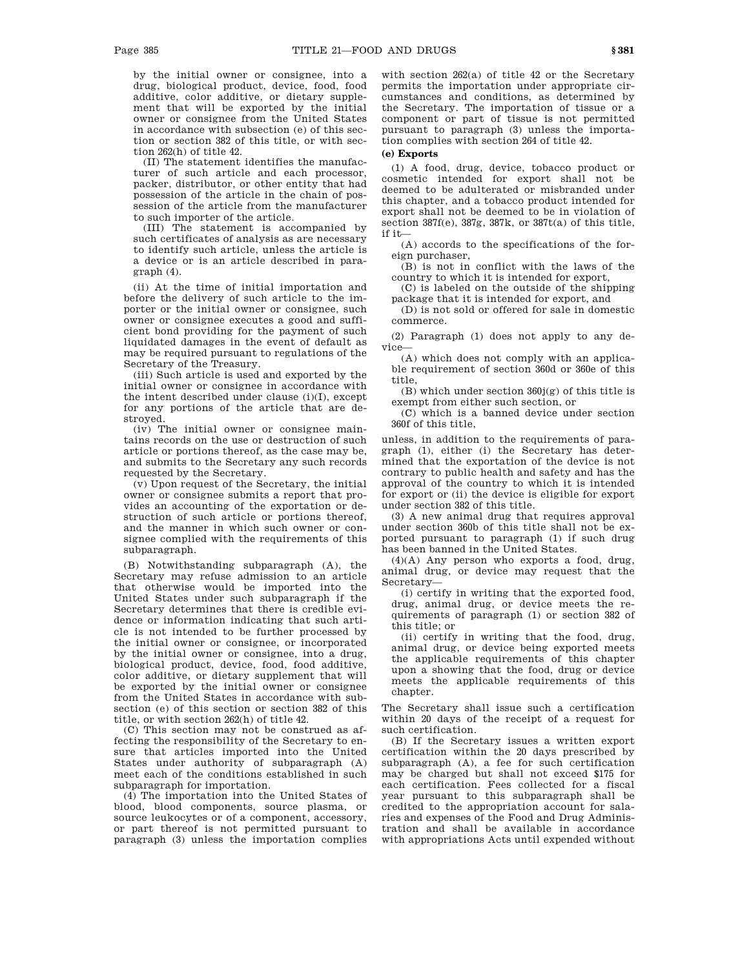by the initial owner or consignee, into a drug, biological product, device, food, food additive, color additive, or dietary supplement that will be exported by the initial owner or consignee from the United States in accordance with subsection (e) of this section or section 382 of this title, or with section 262(h) of title 42.

(II) The statement identifies the manufacturer of such article and each processor, packer, distributor, or other entity that had possession of the article in the chain of possession of the article from the manufacturer to such importer of the article.

(III) The statement is accompanied by such certificates of analysis as are necessary to identify such article, unless the article is a device or is an article described in paragraph (4).

(ii) At the time of initial importation and before the delivery of such article to the importer or the initial owner or consignee, such owner or consignee executes a good and sufficient bond providing for the payment of such liquidated damages in the event of default as may be required pursuant to regulations of the Secretary of the Treasury.

(iii) Such article is used and exported by the initial owner or consignee in accordance with the intent described under clause (i)(I), except for any portions of the article that are destroyed.

(iv) The initial owner or consignee maintains records on the use or destruction of such article or portions thereof, as the case may be, and submits to the Secretary any such records requested by the Secretary.

(v) Upon request of the Secretary, the initial owner or consignee submits a report that provides an accounting of the exportation or destruction of such article or portions thereof, and the manner in which such owner or consignee complied with the requirements of this subparagraph.

(B) Notwithstanding subparagraph (A), the Secretary may refuse admission to an article that otherwise would be imported into the United States under such subparagraph if the Secretary determines that there is credible evidence or information indicating that such article is not intended to be further processed by the initial owner or consignee, or incorporated by the initial owner or consignee, into a drug, biological product, device, food, food additive, color additive, or dietary supplement that will be exported by the initial owner or consignee from the United States in accordance with subsection (e) of this section or section 382 of this title, or with section 262(h) of title 42.

(C) This section may not be construed as affecting the responsibility of the Secretary to ensure that articles imported into the United States under authority of subparagraph (A) meet each of the conditions established in such subparagraph for importation.

(4) The importation into the United States of blood, blood components, source plasma, or source leukocytes or of a component, accessory, or part thereof is not permitted pursuant to paragraph (3) unless the importation complies with section 262(a) of title 42 or the Secretary permits the importation under appropriate circumstances and conditions, as determined by the Secretary. The importation of tissue or a component or part of tissue is not permitted pursuant to paragraph (3) unless the importation complies with section 264 of title 42.

## **(e) Exports**

(1) A food, drug, device, tobacco product or cosmetic intended for export shall not be deemed to be adulterated or misbranded under this chapter, and a tobacco product intended for export shall not be deemed to be in violation of section 387f(e), 387g, 387k, or 387t(a) of this title, if it—

(A) accords to the specifications of the foreign purchaser,

(B) is not in conflict with the laws of the country to which it is intended for export,

(C) is labeled on the outside of the shipping package that it is intended for export, and

(D) is not sold or offered for sale in domestic commerce.

(2) Paragraph (1) does not apply to any device—

(A) which does not comply with an applicable requirement of section 360d or 360e of this title,

 $(B)$  which under section  $360j(g)$  of this title is exempt from either such section, or

(C) which is a banned device under section 360f of this title,

unless, in addition to the requirements of paragraph (1), either (i) the Secretary has determined that the exportation of the device is not contrary to public health and safety and has the approval of the country to which it is intended for export or (ii) the device is eligible for export under section 382 of this title.

(3) A new animal drug that requires approval under section 360b of this title shall not be exported pursuant to paragraph (1) if such drug has been banned in the United States.

 $(4)(A)$  Any person who exports a food, drug, animal drug, or device may request that the Secretary—

(i) certify in writing that the exported food, drug, animal drug, or device meets the requirements of paragraph (1) or section 382 of this title; or

(ii) certify in writing that the food, drug, animal drug, or device being exported meets the applicable requirements of this chapter upon a showing that the food, drug or device meets the applicable requirements of this chapter.

The Secretary shall issue such a certification within 20 days of the receipt of a request for such certification.

(B) If the Secretary issues a written export certification within the 20 days prescribed by subparagraph (A), a fee for such certification may be charged but shall not exceed \$175 for each certification. Fees collected for a fiscal year pursuant to this subparagraph shall be credited to the appropriation account for salaries and expenses of the Food and Drug Administration and shall be available in accordance with appropriations Acts until expended without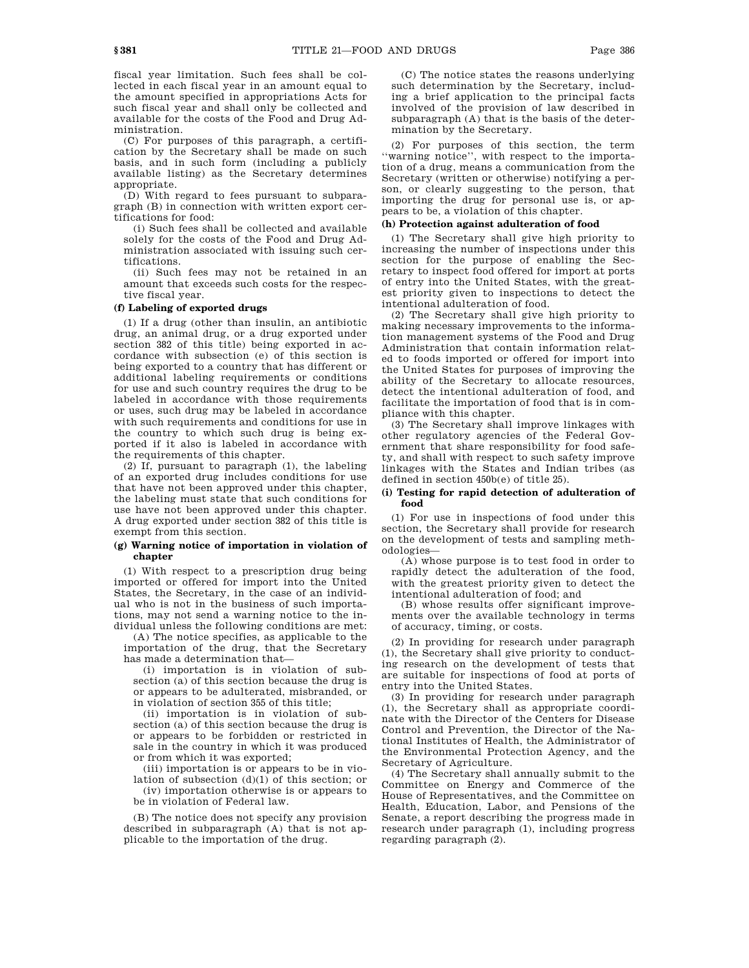fiscal year limitation. Such fees shall be collected in each fiscal year in an amount equal to the amount specified in appropriations Acts for such fiscal year and shall only be collected and available for the costs of the Food and Drug Administration.

(C) For purposes of this paragraph, a certification by the Secretary shall be made on such basis, and in such form (including a publicly available listing) as the Secretary determines appropriate.

(D) With regard to fees pursuant to subparagraph (B) in connection with written export certifications for food:

(i) Such fees shall be collected and available solely for the costs of the Food and Drug Administration associated with issuing such certifications.

(ii) Such fees may not be retained in an amount that exceeds such costs for the respective fiscal year.

### **(f) Labeling of exported drugs**

(1) If a drug (other than insulin, an antibiotic drug, an animal drug, or a drug exported under section 382 of this title) being exported in accordance with subsection (e) of this section is being exported to a country that has different or additional labeling requirements or conditions for use and such country requires the drug to be labeled in accordance with those requirements or uses, such drug may be labeled in accordance with such requirements and conditions for use in the country to which such drug is being exported if it also is labeled in accordance with the requirements of this chapter.

(2) If, pursuant to paragraph (1), the labeling of an exported drug includes conditions for use that have not been approved under this chapter, the labeling must state that such conditions for use have not been approved under this chapter. A drug exported under section 382 of this title is exempt from this section.

## **(g) Warning notice of importation in violation of chapter**

(1) With respect to a prescription drug being imported or offered for import into the United States, the Secretary, in the case of an individual who is not in the business of such importations, may not send a warning notice to the individual unless the following conditions are met:

(A) The notice specifies, as applicable to the importation of the drug, that the Secretary has made a determination that—

(i) importation is in violation of subsection (a) of this section because the drug is or appears to be adulterated, misbranded, or in violation of section 355 of this title;

(ii) importation is in violation of subsection (a) of this section because the drug is or appears to be forbidden or restricted in sale in the country in which it was produced or from which it was exported;

(iii) importation is or appears to be in violation of subsection (d)(1) of this section; or

(iv) importation otherwise is or appears to be in violation of Federal law.

(B) The notice does not specify any provision described in subparagraph (A) that is not applicable to the importation of the drug.

(C) The notice states the reasons underlying such determination by the Secretary, including a brief application to the principal facts involved of the provision of law described in subparagraph  $(A)$  that is the basis of the determination by the Secretary.

(2) For purposes of this section, the term ''warning notice'', with respect to the importation of a drug, means a communication from the Secretary (written or otherwise) notifying a person, or clearly suggesting to the person, that importing the drug for personal use is, or appears to be, a violation of this chapter.

### **(h) Protection against adulteration of food**

(1) The Secretary shall give high priority to increasing the number of inspections under this section for the purpose of enabling the Secretary to inspect food offered for import at ports of entry into the United States, with the greatest priority given to inspections to detect the intentional adulteration of food.

(2) The Secretary shall give high priority to making necessary improvements to the information management systems of the Food and Drug Administration that contain information related to foods imported or offered for import into the United States for purposes of improving the ability of the Secretary to allocate resources, detect the intentional adulteration of food, and facilitate the importation of food that is in compliance with this chapter.

(3) The Secretary shall improve linkages with other regulatory agencies of the Federal Government that share responsibility for food safety, and shall with respect to such safety improve linkages with the States and Indian tribes (as defined in section 450b(e) of title 25).

### **(i) Testing for rapid detection of adulteration of food**

(1) For use in inspections of food under this section, the Secretary shall provide for research on the development of tests and sampling methodologies—

(A) whose purpose is to test food in order to rapidly detect the adulteration of the food, with the greatest priority given to detect the intentional adulteration of food; and

(B) whose results offer significant improvements over the available technology in terms of accuracy, timing, or costs.

(2) In providing for research under paragraph (1), the Secretary shall give priority to conducting research on the development of tests that are suitable for inspections of food at ports of entry into the United States.

(3) In providing for research under paragraph (1), the Secretary shall as appropriate coordinate with the Director of the Centers for Disease Control and Prevention, the Director of the National Institutes of Health, the Administrator of the Environmental Protection Agency, and the Secretary of Agriculture.

(4) The Secretary shall annually submit to the Committee on Energy and Commerce of the House of Representatives, and the Committee on Health, Education, Labor, and Pensions of the Senate, a report describing the progress made in research under paragraph (1), including progress regarding paragraph (2).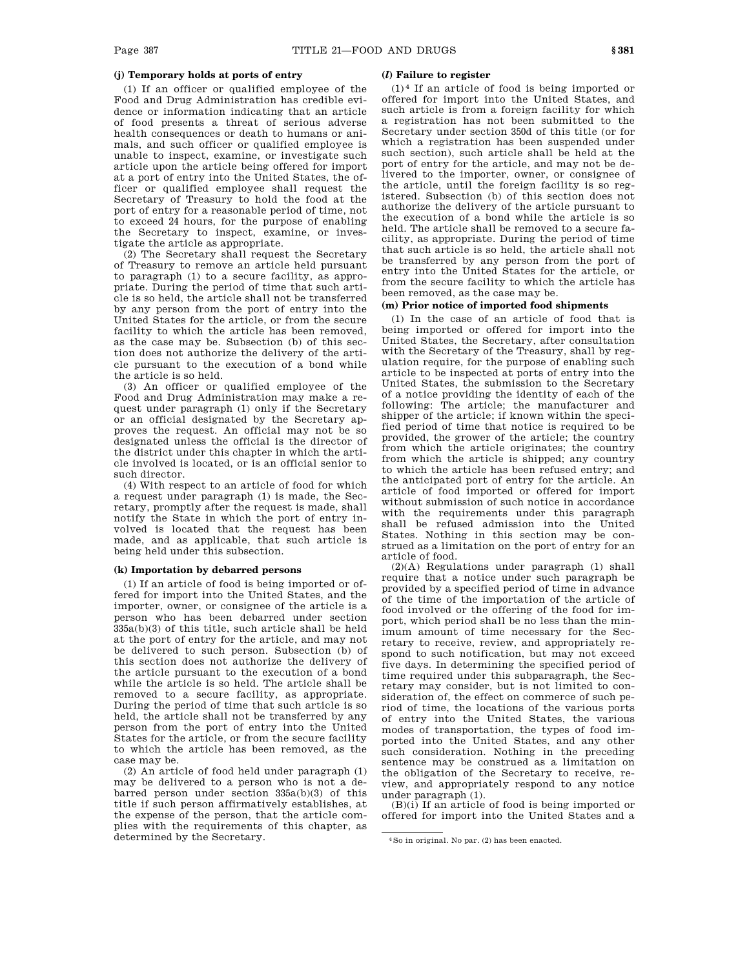# **(j) Temporary holds at ports of entry**

(1) If an officer or qualified employee of the Food and Drug Administration has credible evidence or information indicating that an article of food presents a threat of serious adverse health consequences or death to humans or animals, and such officer or qualified employee is unable to inspect, examine, or investigate such article upon the article being offered for import at a port of entry into the United States, the officer or qualified employee shall request the Secretary of Treasury to hold the food at the port of entry for a reasonable period of time, not to exceed 24 hours, for the purpose of enabling the Secretary to inspect, examine, or investigate the article as appropriate.

(2) The Secretary shall request the Secretary of Treasury to remove an article held pursuant to paragraph (1) to a secure facility, as appropriate. During the period of time that such article is so held, the article shall not be transferred by any person from the port of entry into the United States for the article, or from the secure facility to which the article has been removed, as the case may be. Subsection (b) of this section does not authorize the delivery of the article pursuant to the execution of a bond while the article is so held.

(3) An officer or qualified employee of the Food and Drug Administration may make a request under paragraph (1) only if the Secretary or an official designated by the Secretary approves the request. An official may not be so designated unless the official is the director of the district under this chapter in which the article involved is located, or is an official senior to such director.

(4) With respect to an article of food for which a request under paragraph (1) is made, the Secretary, promptly after the request is made, shall notify the State in which the port of entry involved is located that the request has been made, and as applicable, that such article is being held under this subsection.

### **(k) Importation by debarred persons**

(1) If an article of food is being imported or offered for import into the United States, and the importer, owner, or consignee of the article is a person who has been debarred under section 335a(b)(3) of this title, such article shall be held at the port of entry for the article, and may not be delivered to such person. Subsection (b) of this section does not authorize the delivery of the article pursuant to the execution of a bond while the article is so held. The article shall be removed to a secure facility, as appropriate. During the period of time that such article is so held, the article shall not be transferred by any person from the port of entry into the United States for the article, or from the secure facility to which the article has been removed, as the case may be.

(2) An article of food held under paragraph (1) may be delivered to a person who is not a debarred person under section 335a(b)(3) of this title if such person affirmatively establishes, at the expense of the person, that the article complies with the requirements of this chapter, as determined by the Secretary.

#### **(***l***) Failure to register**

(1) 4 If an article of food is being imported or offered for import into the United States, and such article is from a foreign facility for which a registration has not been submitted to the Secretary under section 350d of this title (or for which a registration has been suspended under such section), such article shall be held at the port of entry for the article, and may not be delivered to the importer, owner, or consignee of the article, until the foreign facility is so registered. Subsection (b) of this section does not authorize the delivery of the article pursuant to the execution of a bond while the article is so held. The article shall be removed to a secure facility, as appropriate. During the period of time that such article is so held, the article shall not be transferred by any person from the port of entry into the United States for the article, or from the secure facility to which the article has been removed, as the case may be.

## **(m) Prior notice of imported food shipments**

(1) In the case of an article of food that is being imported or offered for import into the United States, the Secretary, after consultation with the Secretary of the Treasury, shall by regulation require, for the purpose of enabling such article to be inspected at ports of entry into the United States, the submission to the Secretary of a notice providing the identity of each of the following: The article; the manufacturer and shipper of the article; if known within the specified period of time that notice is required to be provided, the grower of the article; the country from which the article originates; the country from which the article is shipped; any country to which the article has been refused entry; and the anticipated port of entry for the article. An article of food imported or offered for import without submission of such notice in accordance with the requirements under this paragraph shall be refused admission into the United States. Nothing in this section may be construed as a limitation on the port of entry for an article of food.

(2)(A) Regulations under paragraph (1) shall require that a notice under such paragraph be provided by a specified period of time in advance of the time of the importation of the article of food involved or the offering of the food for import, which period shall be no less than the minimum amount of time necessary for the Secretary to receive, review, and appropriately respond to such notification, but may not exceed five days. In determining the specified period of time required under this subparagraph, the Secretary may consider, but is not limited to consideration of, the effect on commerce of such period of time, the locations of the various ports of entry into the United States, the various modes of transportation, the types of food imported into the United States, and any other such consideration. Nothing in the preceding sentence may be construed as a limitation on the obligation of the Secretary to receive, review, and appropriately respond to any notice under paragraph (1).

(B)(i) If an article of food is being imported or offered for import into the United States and a

<sup>4</sup>So in original. No par. (2) has been enacted.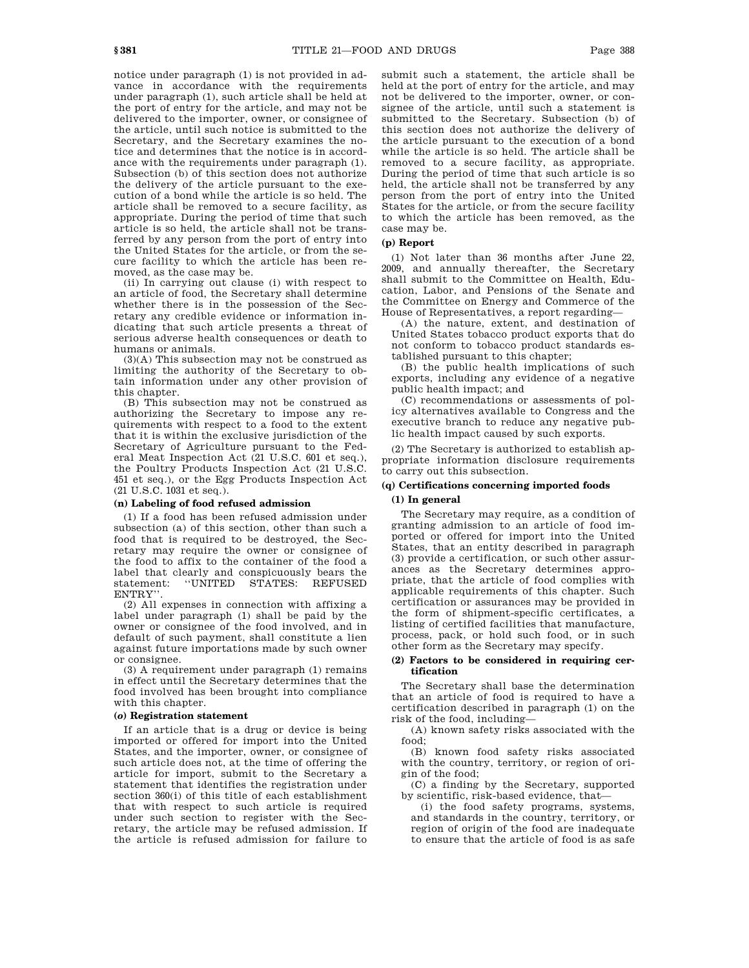notice under paragraph (1) is not provided in advance in accordance with the requirements under paragraph (1), such article shall be held at the port of entry for the article, and may not be delivered to the importer, owner, or consignee of the article, until such notice is submitted to the Secretary, and the Secretary examines the notice and determines that the notice is in accordance with the requirements under paragraph (1). Subsection (b) of this section does not authorize the delivery of the article pursuant to the execution of a bond while the article is so held. The article shall be removed to a secure facility, as appropriate. During the period of time that such article is so held, the article shall not be transferred by any person from the port of entry into the United States for the article, or from the secure facility to which the article has been removed, as the case may be.

(ii) In carrying out clause (i) with respect to an article of food, the Secretary shall determine whether there is in the possession of the Secretary any credible evidence or information indicating that such article presents a threat of serious adverse health consequences or death to humans or animals.

(3)(A) This subsection may not be construed as limiting the authority of the Secretary to obtain information under any other provision of this chapter.

(B) This subsection may not be construed as authorizing the Secretary to impose any requirements with respect to a food to the extent that it is within the exclusive jurisdiction of the Secretary of Agriculture pursuant to the Federal Meat Inspection Act (21 U.S.C. 601 et seq.), the Poultry Products Inspection Act (21 U.S.C. 451 et seq.), or the Egg Products Inspection Act (21 U.S.C. 1031 et seq.).

## **(n) Labeling of food refused admission**

(1) If a food has been refused admission under subsection (a) of this section, other than such a food that is required to be destroyed, the Secretary may require the owner or consignee of the food to affix to the container of the food a label that clearly and conspicuously bears the statement: "UNITED STATES: REFUSED statement: ''UNITED STATES: REFUSED ENTRY''.

(2) All expenses in connection with affixing a label under paragraph (1) shall be paid by the owner or consignee of the food involved, and in default of such payment, shall constitute a lien against future importations made by such owner or consignee.

(3) A requirement under paragraph (1) remains in effect until the Secretary determines that the food involved has been brought into compliance with this chapter.

### **(***o***) Registration statement**

If an article that is a drug or device is being imported or offered for import into the United States, and the importer, owner, or consignee of such article does not, at the time of offering the article for import, submit to the Secretary a statement that identifies the registration under section 360(i) of this title of each establishment that with respect to such article is required under such section to register with the Secretary, the article may be refused admission. If the article is refused admission for failure to

submit such a statement, the article shall be held at the port of entry for the article, and may not be delivered to the importer, owner, or consignee of the article, until such a statement is submitted to the Secretary. Subsection (b) of this section does not authorize the delivery of the article pursuant to the execution of a bond while the article is so held. The article shall be removed to a secure facility, as appropriate. During the period of time that such article is so held, the article shall not be transferred by any person from the port of entry into the United States for the article, or from the secure facility to which the article has been removed, as the case may be.

### **(p) Report**

(1) Not later than 36 months after June 22, 2009, and annually thereafter, the Secretary shall submit to the Committee on Health, Education, Labor, and Pensions of the Senate and the Committee on Energy and Commerce of the House of Representatives, a report regarding—

(A) the nature, extent, and destination of United States tobacco product exports that do not conform to tobacco product standards established pursuant to this chapter;

(B) the public health implications of such exports, including any evidence of a negative public health impact; and

(C) recommendations or assessments of policy alternatives available to Congress and the executive branch to reduce any negative public health impact caused by such exports.

(2) The Secretary is authorized to establish appropriate information disclosure requirements to carry out this subsection.

# **(q) Certifications concerning imported foods**

## **(1) In general**

The Secretary may require, as a condition of granting admission to an article of food imported or offered for import into the United States, that an entity described in paragraph (3) provide a certification, or such other assurances as the Secretary determines appropriate, that the article of food complies with applicable requirements of this chapter. Such certification or assurances may be provided in the form of shipment-specific certificates, a listing of certified facilities that manufacture, process, pack, or hold such food, or in such other form as the Secretary may specify.

### **(2) Factors to be considered in requiring certification**

The Secretary shall base the determination that an article of food is required to have a certification described in paragraph (1) on the risk of the food, including—

(A) known safety risks associated with the food;

(B) known food safety risks associated with the country, territory, or region of origin of the food;

(C) a finding by the Secretary, supported by scientific, risk-based evidence, that—

(i) the food safety programs, systems, and standards in the country, territory, or region of origin of the food are inadequate to ensure that the article of food is as safe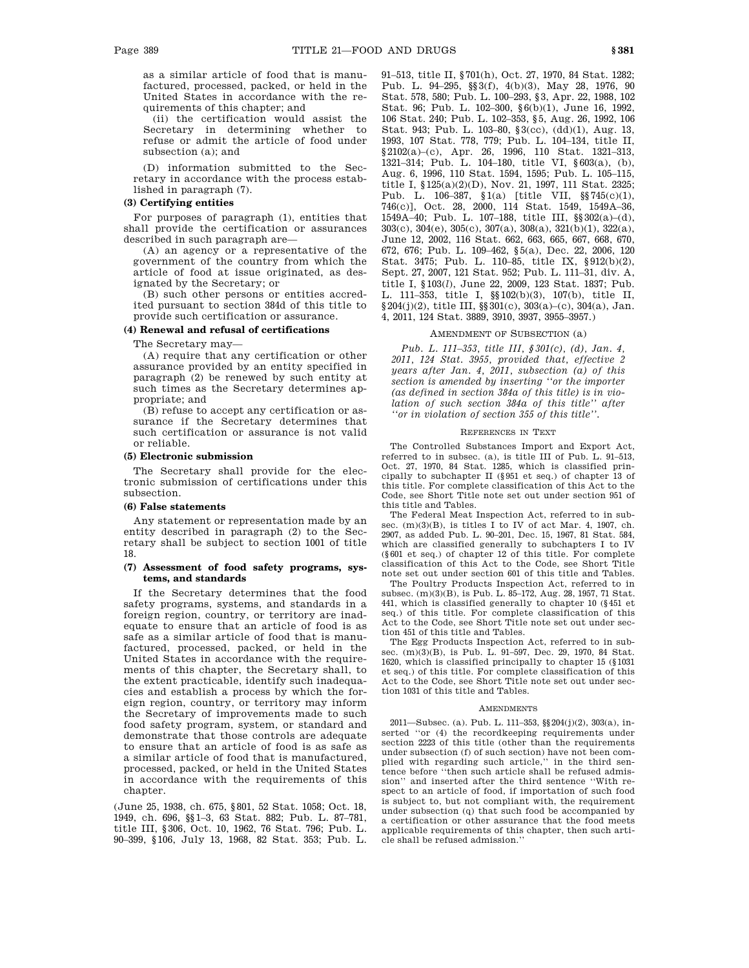as a similar article of food that is manufactured, processed, packed, or held in the United States in accordance with the requirements of this chapter; and

(ii) the certification would assist the Secretary in determining whether to refuse or admit the article of food under subsection (a); and

(D) information submitted to the Secretary in accordance with the process established in paragraph (7).

# **(3) Certifying entities**

For purposes of paragraph (1), entities that shall provide the certification or assurances described in such paragraph are—

(A) an agency or a representative of the government of the country from which the article of food at issue originated, as designated by the Secretary; or

(B) such other persons or entities accredited pursuant to section 384d of this title to provide such certification or assurance.

## **(4) Renewal and refusal of certifications**

The Secretary may—

(A) require that any certification or other assurance provided by an entity specified in paragraph (2) be renewed by such entity at such times as the Secretary determines appropriate; and

(B) refuse to accept any certification or assurance if the Secretary determines that such certification or assurance is not valid or reliable.

### **(5) Electronic submission**

The Secretary shall provide for the electronic submission of certifications under this subsection.

#### **(6) False statements**

Any statement or representation made by an entity described in paragraph (2) to the Secretary shall be subject to section 1001 of title 18.

## **(7) Assessment of food safety programs, systems, and standards**

If the Secretary determines that the food safety programs, systems, and standards in a foreign region, country, or territory are inadequate to ensure that an article of food is as safe as a similar article of food that is manufactured, processed, packed, or held in the United States in accordance with the requirements of this chapter, the Secretary shall, to the extent practicable, identify such inadequacies and establish a process by which the foreign region, country, or territory may inform the Secretary of improvements made to such food safety program, system, or standard and demonstrate that those controls are adequate to ensure that an article of food is as safe as a similar article of food that is manufactured, processed, packed, or held in the United States in accordance with the requirements of this chapter.

(June 25, 1938, ch. 675, §801, 52 Stat. 1058; Oct. 18, 1949, ch. 696, §§1–3, 63 Stat. 882; Pub. L. 87–781, title III, §306, Oct. 10, 1962, 76 Stat. 796; Pub. L. 90–399, §106, July 13, 1968, 82 Stat. 353; Pub. L. 91–513, title II, §701(h), Oct. 27, 1970, 84 Stat. 1282; Pub. L. 94–295, §§3(f), 4(b)(3), May 28, 1976, 90 Stat. 578, 580; Pub. L. 100–293, §3, Apr. 22, 1988, 102 Stat. 96; Pub. L. 102–300, §6(b)(1), June 16, 1992, 106 Stat. 240; Pub. L. 102–353, §5, Aug. 26, 1992, 106 Stat. 943; Pub. L. 103–80, §3(cc), (dd)(1), Aug. 13, 1993, 107 Stat. 778, 779; Pub. L. 104–134, title II, §2102(a)–(c), Apr. 26, 1996, 110 Stat. 1321–313, 1321–314; Pub. L. 104–180, title VI, §603(a), (b), Aug. 6, 1996, 110 Stat. 1594, 1595; Pub. L. 105–115, title I, §125(a)(2)(D), Nov. 21, 1997, 111 Stat. 2325; Pub. L. 106–387, §1(a) [title VII, §§745(c)(1), 746(c)], Oct. 28, 2000, 114 Stat. 1549, 1549A–36, 1549A–40; Pub. L. 107–188, title III, §§302(a)–(d), 303(c), 304(e), 305(c), 307(a), 308(a), 321(b)(1), 322(a), June 12, 2002, 116 Stat. 662, 663, 665, 667, 668, 670, 672, 676; Pub. L. 109–462, §5(a), Dec. 22, 2006, 120 Stat. 3475; Pub. L. 110–85, title IX, §912(b)(2), Sept. 27, 2007, 121 Stat. 952; Pub. L. 111–31, div. A, title I, §103(*l*), June 22, 2009, 123 Stat. 1837; Pub. L. 111–353, title I, §§102(b)(3), 107(b), title II,  $§ 204(j)(2)$ , title III,  $§ 301(c)$ ,  $303(a)-(c)$ ,  $304(a)$ , Jan. 4, 2011, 124 Stat. 3889, 3910, 3937, 3955–3957.)

## AMENDMENT OF SUBSECTION (a)

*Pub. L. 111–353, title III, §301(c), (d), Jan. 4, 2011, 124 Stat. 3955, provided that, effective 2 years after Jan. 4, 2011, subsection (a) of this section is amended by inserting ''or the importer (as defined in section 384a of this title) is in violation of such section 384a of this title'' after ''or in violation of section 355 of this title''.*

#### REFERENCES IN TEXT

The Controlled Substances Import and Export Act, referred to in subsec. (a), is title III of Pub. L. 91–513, Oct. 27, 1970, 84 Stat. 1285, which is classified principally to subchapter II (§951 et seq.) of chapter 13 of this title. For complete classification of this Act to the Code, see Short Title note set out under section 951 of this title and Tables.

The Federal Meat Inspection Act, referred to in subsec. (m)(3)(B), is titles I to IV of act Mar. 4, 1907, ch. 2907, as added Pub. L. 90–201, Dec. 15, 1967, 81 Stat. 584, which are classified generally to subchapters I to IV (§601 et seq.) of chapter 12 of this title. For complete classification of this Act to the Code, see Short Title note set out under section 601 of this title and Tables.

The Poultry Products Inspection Act, referred to in subsec. (m)(3)(B), is Pub. L. 85–172, Aug. 28, 1957, 71 Stat. 441, which is classified generally to chapter 10 (§451 et seq.) of this title. For complete classification of this Act to the Code, see Short Title note set out under section 451 of this title and Tables.

The Egg Products Inspection Act, referred to in subsec. (m)(3)(B), is Pub. L. 91–597, Dec. 29, 1970, 84 Stat. 1620, which is classified principally to chapter 15 (§1031 et seq.) of this title. For complete classification of this Act to the Code, see Short Title note set out under section 1031 of this title and Tables.

#### **AMENDMENTS**

2011—Subsec. (a). Pub. L. 111–353, §§204(j)(2), 303(a), inserted ''or (4) the recordkeeping requirements under section 2223 of this title (other than the requirements under subsection (f) of such section) have not been complied with regarding such article,'' in the third sentence before ''then such article shall be refused admission'' and inserted after the third sentence ''With respect to an article of food, if importation of such food is subject to, but not compliant with, the requirement under subsection (q) that such food be accompanied by a certification or other assurance that the food meets applicable requirements of this chapter, then such article shall be refused admission.''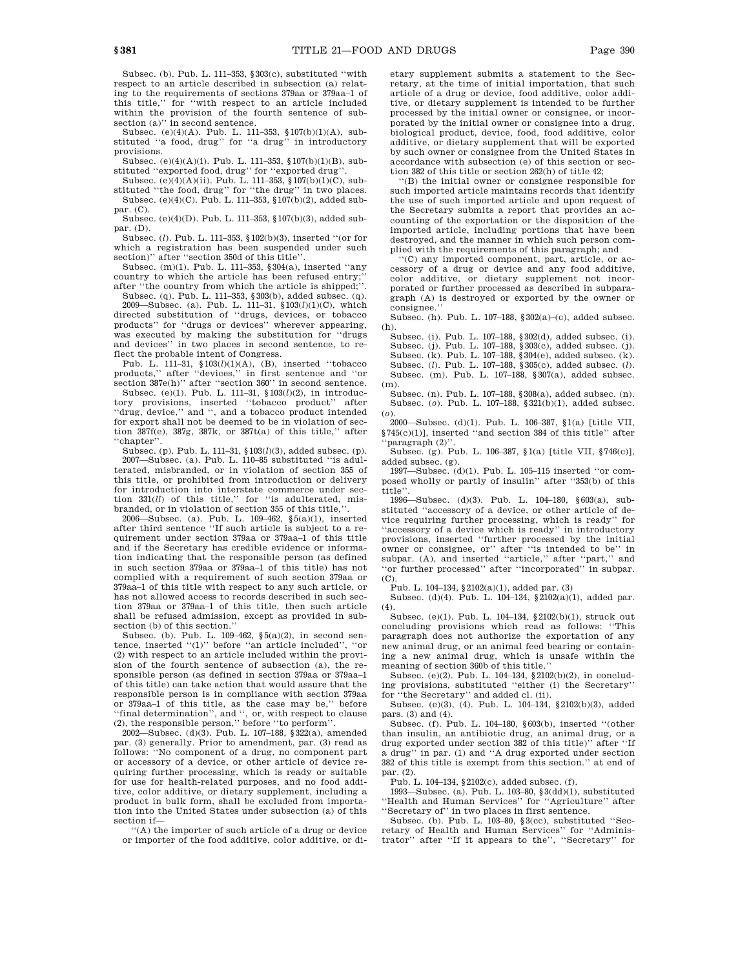Subsec. (b). Pub. L. 111–353, §303(c), substituted ''with respect to an article described in subsection (a) relating to the requirements of sections 379aa or 379aa–1 of this title,'' for ''with respect to an article included within the provision of the fourth sentence of subsection (a)" in second sentence.

Subsec. (e)(4)(A). Pub. L. 111–353, §107(b)(1)(A), substituted ''a food, drug'' for ''a drug'' in introductory provisions.

Subsec. (e)(4)(A)(i). Pub. L. 111–353, §107(b)(1)(B), substituted "exported food, drug" for "exported drug"

Subsec. (e)(4)(A)(ii). Pub. L. 111-353, §107(b)(1)(C), substituted ''the food, drug'' for ''the drug'' in two places. Subsec. (e)(4)(C). Pub. L. 111–353, §107(b)(2), added subpar. (C).

Subsec. (e)(4)(D). Pub. L. 111–353, §107(b)(3), added subpar. (D).

Subsec. (*l*). Pub. L. 111–353, §102(b)(3), inserted ''(or for which a registration has been suspended under such section)" after "section 350d of this title"

Subsec. (m)(1). Pub. L. 111–353, §304(a), inserted ''any country to which the article has been refused entry;'' after ''the country from which the article is shipped;''.

Subsec. (q). Pub. L. 111–353, §303(b), added subsec. (q). 2009—Subsec. (a). Pub. L. 111–31, §103(*l*)(1)(C), which directed substitution of ''drugs, devices, or tobacco products'' for ''drugs or devices'' wherever appearing, was executed by making the substitution for ''drugs and devices'' in two places in second sentence, to reflect the probable intent of Congress.

Pub. L. 111–31, §103(*l*)(1)(A), (B), inserted ''tobacco products,'' after ''devices,'' in first sentence and ''or section 387e(h)" after "section 360" in second sentence.

Subsec. (e)(1). Pub. L. 111–31, §103(*l*)(2), in introductory provisions, inserted ''tobacco product'' after ''drug, device,'' and '', and a tobacco product intended for export shall not be deemed to be in violation of section 387f(e), 387g, 387k, or 387t(a) of this title,'' after ''chapter''.

Subsec. (p). Pub. L. 111–31, §103(*l*)(3), added subsec. (p). 2007—Subsec. (a). Pub. L. 110–85 substituted ''is adulterated, misbranded, or in violation of section 355 of this title, or prohibited from introduction or delivery for introduction into interstate commerce under section 331(*ll*) of this title,'' for ''is adulterated, misbranded, or in violation of section 355 of this title,

2006—Subsec. (a). Pub. L. 109–462, §5(a)(1), inserted after third sentence ''If such article is subject to a requirement under section 379aa or 379aa–1 of this title and if the Secretary has credible evidence or information indicating that the responsible person (as defined in such section 379aa or 379aa–1 of this title) has not complied with a requirement of such section 379aa or 379aa–1 of this title with respect to any such article, or has not allowed access to records described in such section 379aa or 379aa–1 of this title, then such article shall be refused admission, except as provided in subsection (b) of this section.''

Subsec. (b). Pub. L. 109–462, §5(a)(2), in second sentence, inserted ''(1)'' before ''an article included'', ''or (2) with respect to an article included within the provision of the fourth sentence of subsection (a), the responsible person (as defined in section 379aa or 379aa–1 of this title) can take action that would assure that the responsible person is in compliance with section 379aa or 379aa–1 of this title, as the case may be,'' before ''final determination'', and '', or, with respect to clause (2), the responsible person,'' before ''to perform''.

2002—Subsec. (d)(3). Pub. L. 107–188, §322(a), amended par. (3) generally. Prior to amendment, par. (3) read as follows: ''No component of a drug, no component part or accessory of a device, or other article of device requiring further processing, which is ready or suitable for use for health-related purposes, and no food additive, color additive, or dietary supplement, including a product in bulk form, shall be excluded from importation into the United States under subsection (a) of this section if—

''(A) the importer of such article of a drug or device or importer of the food additive, color additive, or dietary supplement submits a statement to the Secretary, at the time of initial importation, that such article of a drug or device, food additive, color additive, or dietary supplement is intended to be further processed by the initial owner or consignee, or incorporated by the initial owner or consignee into a drug, biological product, device, food, food additive, color additive, or dietary supplement that will be exported by such owner or consignee from the United States in accordance with subsection (e) of this section or section 382 of this title or section 262(h) of title 42;

''(B) the initial owner or consignee responsible for such imported article maintains records that identify the use of such imported article and upon request of the Secretary submits a report that provides an accounting of the exportation or the disposition of the imported article, including portions that have been destroyed, and the manner in which such person complied with the requirements of this paragraph; and

''(C) any imported component, part, article, or accessory of a drug or device and any food additive, color additive, or dietary supplement not incorporated or further processed as described in subparagraph (A) is destroyed or exported by the owner or consignee.''

Subsec. (h). Pub. L. 107–188, §302(a)–(c), added subsec. (h).

Subsec. (i). Pub. L. 107–188, §302(d), added subsec. (i). Subsec. (j). Pub. L. 107–188, §303(c), added subsec. (j). Subsec. (k). Pub. L. 107–188, §304(e), added subsec. (k). Subsec. (*l*). Pub. L. 107–188, §305(c), added subsec. (*l*). Subsec. (m). Pub. L. 107–188, §307(a), added subsec. (m).

Subsec. (n). Pub. L. 107–188, §308(a), added subsec. (n). Subsec. (*o*). Pub. L. 107–188, §321(b)(1), added subsec. (*o*).

2000—Subsec. (d)(1). Pub. L. 106–387, §1(a) [title VII, §745(c)(1)], inserted ''and section 384 of this title'' after 'paragraph (2)".

Subsec. (g). Pub. L. 106–387, §1(a) [title VII, §746(c)], added subsec. (g).

1997—Subsec. (d)(1). Pub. L. 105–115 inserted ''or composed wholly or partly of insulin'' after ''353(b) of this title''.

1996—Subsec. (d)(3). Pub. L. 104–180, §603(a), substituted ''accessory of a device, or other article of device requiring further processing, which is ready'' for 'accessory of a device which is ready'' in introductory provisions, inserted ''further processed by the initial owner or consignee, or'' after ''is intended to be'' in subpar. (A), and inserted "article," after "part," and 'or further processed" after "incorporated" in subpar.  $(C)$ .

Pub. L. 104–134, §2102(a)(1), added par. (3)

Subsec. (d)(4). Pub. L. 104–134, §2102(a)(1), added par. (4).

Subsec. (e)(1). Pub. L. 104–134, §2102(b)(1), struck out concluding provisions which read as follows: ''This paragraph does not authorize the exportation of any new animal drug, or an animal feed bearing or containing a new animal drug, which is unsafe within the meaning of section 360b of this title.''

Subsec. (e)(2). Pub. L. 104–134, §2102(b)(2), in concluding provisions, substituted ''either (i) the Secretary'' for ''the Secretary'' and added cl. (ii).

Subsec. (e)(3), (4). Pub. L. 104–134, §2102(b)(3), added pars. (3) and (4).

Subsec. (f). Pub. L. 104–180, §603(b), inserted ''(other than insulin, an antibiotic drug, an animal drug, or a drug exported under section 382 of this title)'' after ''If a drug'' in par. (1) and ''A drug exported under section 382 of this title is exempt from this section.'' at end of par. (2).

Pub. L. 104–134, §2102(c), added subsec. (f).

1993—Subsec. (a). Pub. L. 103–80, §3(dd)(1), substituted 'Health and Human Services'' for "Agriculture" after 'Secretary of" in two places in first sentence.

Subsec. (b). Pub. L. 103–80, §3(cc), substituted ''Secretary of Health and Human Services'' for ''Administrator'' after ''If it appears to the'', ''Secretary'' for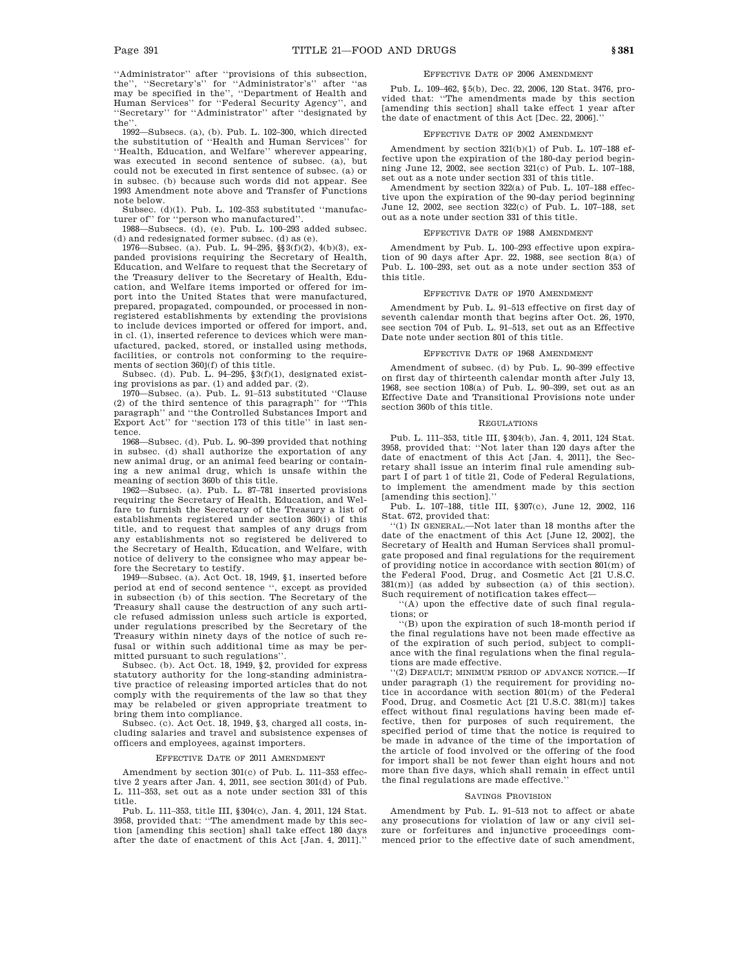''Administrator'' after ''provisions of this subsection, the'', ''Secretary's'' for ''Administrator's'' after ''as may be specified in the'', ''Department of Health and Human Services'' for ''Federal Security Agency'', and ''Secretary'' for ''Administrator'' after ''designated by the

1992—Subsecs. (a), (b). Pub. L. 102–300, which directed the substitution of ''Health and Human Services'' for ''Health, Education, and Welfare'' wherever appearing, was executed in second sentence of subsec. (a), but could not be executed in first sentence of subsec. (a) or in subsec. (b) because such words did not appear. See 1993 Amendment note above and Transfer of Functions note below.

Subsec. (d)(1). Pub. L. 102–353 substituted ''manufacturer of'' for ''person who manufactured''.

1988—Subsecs. (d), (e). Pub. L. 100–293 added subsec. (d) and redesignated former subsec. (d) as (e).

1976—Subsec. (a). Pub. L. 94–295, §§3(f)(2), 4(b)(3), expanded provisions requiring the Secretary of Health, Education, and Welfare to request that the Secretary of the Treasury deliver to the Secretary of Health, Education, and Welfare items imported or offered for import into the United States that were manufactured, prepared, propagated, compounded, or processed in nonregistered establishments by extending the provisions to include devices imported or offered for import, and, in cl. (1), inserted reference to devices which were manufactured, packed, stored, or installed using methods, facilities, or controls not conforming to the require-

ments of section 360j(f) of this title. Subsec. (d). Pub. L. 94–295, §3(f)(1), designated existing provisions as par. (1) and added par. (2).

1970—Subsec. (a). Pub. L. 91–513 substituted ''Clause (2) of the third sentence of this paragraph'' for ''This paragraph'' and ''the Controlled Substances Import and Export Act'' for ''section 173 of this title'' in last sentence.

1968—Subsec. (d). Pub. L. 90–399 provided that nothing in subsec. (d) shall authorize the exportation of any new animal drug, or an animal feed bearing or containing a new animal drug, which is unsafe within the meaning of section 360b of this title.

1962—Subsec. (a). Pub. L. 87–781 inserted provisions requiring the Secretary of Health, Education, and Welfare to furnish the Secretary of the Treasury a list of establishments registered under section 360(i) of this title, and to request that samples of any drugs from any establishments not so registered be delivered to the Secretary of Health, Education, and Welfare, with notice of delivery to the consignee who may appear before the Secretary to testify.

1949—Subsec. (a). Act Oct. 18, 1949, §1, inserted before period at end of second sentence '', except as provided in subsection (b) of this section. The Secretary of the Treasury shall cause the destruction of any such article refused admission unless such article is exported, under regulations prescribed by the Secretary of the Treasury within ninety days of the notice of such refusal or within such additional time as may be permitted pursuant to such regulations''.

Subsec. (b). Act Oct. 18, 1949, §2, provided for express statutory authority for the long-standing administrative practice of releasing imported articles that do not comply with the requirements of the law so that they may be relabeled or given appropriate treatment to bring them into compliance.

Subsec. (c). Act Oct. 18, 1949, §3, charged all costs, including salaries and travel and subsistence expenses of officers and employees, against importers.

### EFFECTIVE DATE OF 2011 AMENDMENT

Amendment by section 301(c) of Pub. L. 111–353 effective 2 years after Jan. 4, 2011, see section 301(d) of Pub. L. 111–353, set out as a note under section 331 of this title.

Pub. L. 111–353, title III, §304(c), Jan. 4, 2011, 124 Stat. 3958, provided that: ''The amendment made by this section [amending this section] shall take effect 180 days after the date of enactment of this Act [Jan. 4, 2011].''

### EFFECTIVE DATE OF 2006 AMENDMENT

Pub. L. 109–462, §5(b), Dec. 22, 2006, 120 Stat. 3476, provided that: ''The amendments made by this section [amending this section] shall take effect 1 year after the date of enactment of this Act [Dec. 22, 2006].''

## EFFECTIVE DATE OF 2002 AMENDMENT

Amendment by section 321(b)(1) of Pub. L. 107–188 effective upon the expiration of the 180-day period beginning June 12, 2002, see section 321(c) of Pub. L. 107–188, set out as a note under section 331 of this title.

Amendment by section 322(a) of Pub. L. 107–188 effective upon the expiration of the 90-day period beginning June 12, 2002, see section 322(c) of Pub. L. 107–188, set out as a note under section 331 of this title.

### EFFECTIVE DATE OF 1988 AMENDMENT

Amendment by Pub. L. 100–293 effective upon expiration of 90 days after Apr. 22, 1988, see section 8(a) of Pub. L. 100–293, set out as a note under section 353 of this title.

#### EFFECTIVE DATE OF 1970 AMENDMENT

Amendment by Pub. L. 91–513 effective on first day of seventh calendar month that begins after Oct. 26, 1970, see section 704 of Pub. L. 91–513, set out as an Effective Date note under section 801 of this title.

#### EFFECTIVE DATE OF 1968 AMENDMENT

Amendment of subsec. (d) by Pub. L. 90–399 effective on first day of thirteenth calendar month after July 13, 1968, see section 108(a) of Pub. L. 90–399, set out as an Effective Date and Transitional Provisions note under section 360b of this title.

### REGULATIONS

Pub. L. 111–353, title III, §304(b), Jan. 4, 2011, 124 Stat. 3958, provided that: ''Not later than 120 days after the date of enactment of this Act [Jan. 4, 2011], the Secretary shall issue an interim final rule amending subpart I of part 1 of title 21, Code of Federal Regulations, to implement the amendment made by this section [amending this section].''

Pub. L. 107–188, title III, §307(c), June 12, 2002, 116 Stat. 672, provided that:

''(1) IN GENERAL.—Not later than 18 months after the date of the enactment of this Act [June 12, 2002], the Secretary of Health and Human Services shall promulgate proposed and final regulations for the requirement of providing notice in accordance with section 801(m) of the Federal Food, Drug, and Cosmetic Act [21 U.S.C. 381(m)] (as added by subsection (a) of this section). Such requirement of notification takes effect—

''(A) upon the effective date of such final regulations; or

''(B) upon the expiration of such 18-month period if the final regulations have not been made effective as of the expiration of such period, subject to compliance with the final regulations when the final regulations are made effective.

''(2) DEFAULT; MINIMUM PERIOD OF ADVANCE NOTICE.—If under paragraph (1) the requirement for providing notice in accordance with section 801(m) of the Federal Food, Drug, and Cosmetic Act [21 U.S.C. 381(m)] takes effect without final regulations having been made effective, then for purposes of such requirement, the specified period of time that the notice is required to be made in advance of the time of the importation of the article of food involved or the offering of the food for import shall be not fewer than eight hours and not more than five days, which shall remain in effect until the final regulations are made effective.''

#### SAVINGS PROVISION

Amendment by Pub. L. 91–513 not to affect or abate any prosecutions for violation of law or any civil seizure or forfeitures and injunctive proceedings commenced prior to the effective date of such amendment,